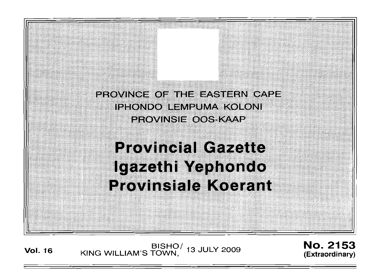

**Vol. 16** KING WILLIAM'S TOWN, <sup>13 JULY 2009 **No. 2153**</sup>

(Extraordinary)